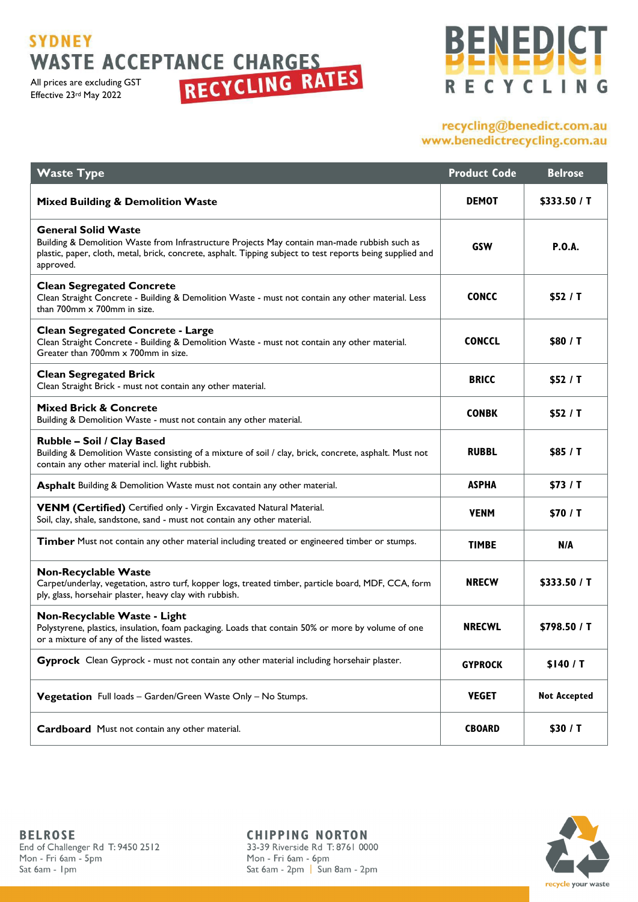# **SYDNEY**

All prices are excluding GST Effective 23rd May 2022

# **BENEDICT** RECYCLING

## recycling@benedict.com.au www.benedictrecycling.com.au

| <b>Waste Type</b>                                                                                                                                                                                                                                      | <b>Product Code</b> | <b>Belrose</b>      |
|--------------------------------------------------------------------------------------------------------------------------------------------------------------------------------------------------------------------------------------------------------|---------------------|---------------------|
| <b>Mixed Building &amp; Demolition Waste</b>                                                                                                                                                                                                           | <b>DEMOT</b>        | \$333.50 / T        |
| <b>General Solid Waste</b><br>Building & Demolition Waste from Infrastructure Projects May contain man-made rubbish such as<br>plastic, paper, cloth, metal, brick, concrete, asphalt. Tipping subject to test reports being supplied and<br>approved. | GSW                 | <b>P.O.A.</b>       |
| <b>Clean Segregated Concrete</b><br>Clean Straight Concrete - Building & Demolition Waste - must not contain any other material. Less<br>than 700mm x 700mm in size.                                                                                   | <b>CONCC</b>        | \$52 / T            |
| <b>Clean Segregated Concrete - Large</b><br>Clean Straight Concrete - Building & Demolition Waste - must not contain any other material.<br>Greater than 700mm x 700mm in size.                                                                        | <b>CONCCL</b>       | \$80 / T            |
| <b>Clean Segregated Brick</b><br>Clean Straight Brick - must not contain any other material.                                                                                                                                                           | <b>BRICC</b>        | \$52/1              |
| <b>Mixed Brick &amp; Concrete</b><br>Building & Demolition Waste - must not contain any other material.                                                                                                                                                | <b>CONBK</b>        | \$52 / T            |
| Rubble - Soil / Clay Based<br>Building & Demolition Waste consisting of a mixture of soil / clay, brick, concrete, asphalt. Must not<br>contain any other material incl. light rubbish.                                                                | <b>RUBBL</b>        | \$85 / T            |
| Asphalt Building & Demolition Waste must not contain any other material.                                                                                                                                                                               | <b>ASPHA</b>        | \$73/1              |
| VENM (Certified) Certified only - Virgin Excavated Natural Material.<br>Soil, clay, shale, sandstone, sand - must not contain any other material.                                                                                                      | <b>VENM</b>         | \$70 / T            |
| Timber Must not contain any other material including treated or engineered timber or stumps.                                                                                                                                                           | <b>TIMBE</b>        | N/A                 |
| <b>Non-Recyclable Waste</b><br>Carpet/underlay, vegetation, astro turf, kopper logs, treated timber, particle board, MDF, CCA, form<br>ply, glass, horsehair plaster, heavy clay with rubbish.                                                         | <b>NRECW</b>        | \$333.50 / T        |
| Non-Recyclable Waste - Light<br>Polystyrene, plastics, insulation, foam packaging. Loads that contain 50% or more by volume of one<br>or a mixture of any of the listed wastes.                                                                        | <b>NRECWL</b>       | \$798.50 / T        |
| Gyprock Clean Gyprock - must not contain any other material including horsehair plaster.                                                                                                                                                               | <b>GYPROCK</b>      | \$140/T             |
| Vegetation Full loads - Garden/Green Waste Only - No Stumps.                                                                                                                                                                                           | <b>VEGET</b>        | <b>Not Accepted</b> |
| Cardboard Must not contain any other material.                                                                                                                                                                                                         | <b>CBOARD</b>       | \$30 / T            |

**CHIPPING NORTON** 33-39 Riverside Rd T: 8761 0000 Mon - Fri 6am - 6pm Sat 6am - 2pm | Sun 8am - 2pm